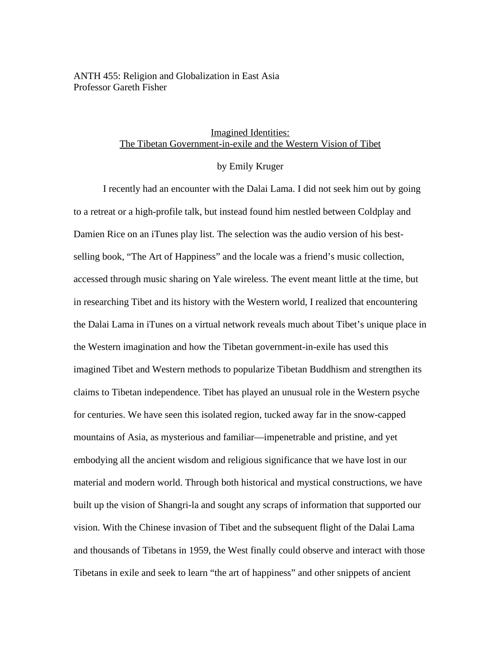## ANTH 455: Religion and Globalization in East Asia Professor Gareth Fisher

## Imagined Identities: The Tibetan Government-in-exile and the Western Vision of Tibet

# by Emily Kruger

I recently had an encounter with the Dalai Lama. I did not seek him out by going to a retreat or a high-profile talk, but instead found him nestled between Coldplay and Damien Rice on an iTunes play list. The selection was the audio version of his bestselling book, "The Art of Happiness" and the locale was a friend's music collection, accessed through music sharing on Yale wireless. The event meant little at the time, but in researching Tibet and its history with the Western world, I realized that encountering the Dalai Lama in iTunes on a virtual network reveals much about Tibet's unique place in the Western imagination and how the Tibetan government-in-exile has used this imagined Tibet and Western methods to popularize Tibetan Buddhism and strengthen its claims to Tibetan independence. Tibet has played an unusual role in the Western psyche for centuries. We have seen this isolated region, tucked away far in the snow-capped mountains of Asia, as mysterious and familiar—impenetrable and pristine, and yet embodying all the ancient wisdom and religious significance that we have lost in our material and modern world. Through both historical and mystical constructions, we have built up the vision of Shangri-la and sought any scraps of information that supported our vision. With the Chinese invasion of Tibet and the subsequent flight of the Dalai Lama and thousands of Tibetans in 1959, the West finally could observe and interact with those Tibetans in exile and seek to learn "the art of happiness" and other snippets of ancient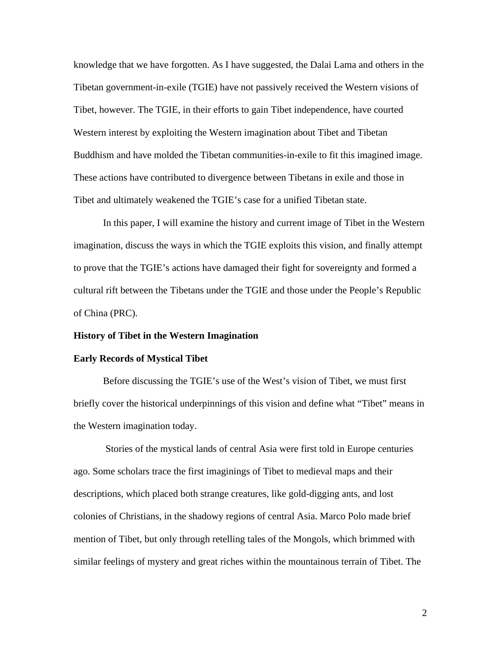knowledge that we have forgotten. As I have suggested, the Dalai Lama and others in the Tibetan government-in-exile (TGIE) have not passively received the Western visions of Tibet, however. The TGIE, in their efforts to gain Tibet independence, have courted Western interest by exploiting the Western imagination about Tibet and Tibetan Buddhism and have molded the Tibetan communities-in-exile to fit this imagined image. These actions have contributed to divergence between Tibetans in exile and those in Tibet and ultimately weakened the TGIE's case for a unified Tibetan state.

In this paper, I will examine the history and current image of Tibet in the Western imagination, discuss the ways in which the TGIE exploits this vision, and finally attempt to prove that the TGIE's actions have damaged their fight for sovereignty and formed a cultural rift between the Tibetans under the TGIE and those under the People's Republic of China (PRC).

#### **History of Tibet in the Western Imagination**

#### **Early Records of Mystical Tibet**

Before discussing the TGIE's use of the West's vision of Tibet, we must first briefly cover the historical underpinnings of this vision and define what "Tibet" means in the Western imagination today.

Stories of the mystical lands of central Asia were first told in Europe centuries ago. Some scholars trace the first imaginings of Tibet to medieval maps and their descriptions, which placed both strange creatures, like gold-digging ants, and lost colonies of Christians, in the shadowy regions of central Asia. Marco Polo made brief mention of Tibet, but only through retelling tales of the Mongols, which brimmed with similar feelings of mystery and great riches within the mountainous terrain of Tibet. The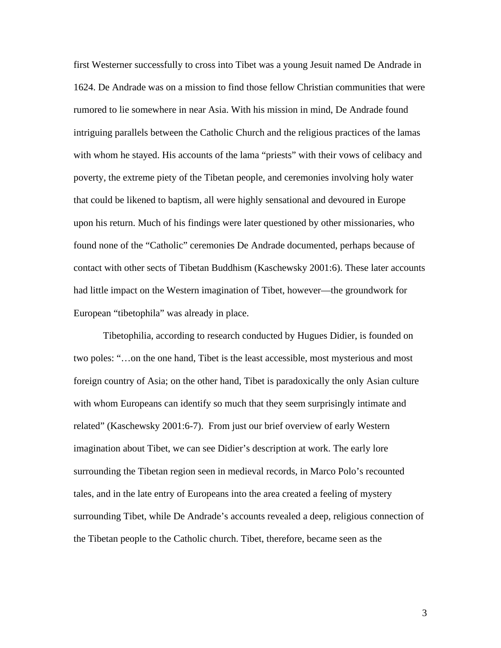first Westerner successfully to cross into Tibet was a young Jesuit named De Andrade in 1624. De Andrade was on a mission to find those fellow Christian communities that were rumored to lie somewhere in near Asia. With his mission in mind, De Andrade found intriguing parallels between the Catholic Church and the religious practices of the lamas with whom he stayed. His accounts of the lama "priests" with their vows of celibacy and poverty, the extreme piety of the Tibetan people, and ceremonies involving holy water that could be likened to baptism, all were highly sensational and devoured in Europe upon his return. Much of his findings were later questioned by other missionaries, who found none of the "Catholic" ceremonies De Andrade documented, perhaps because of contact with other sects of Tibetan Buddhism (Kaschewsky 2001:6). These later accounts had little impact on the Western imagination of Tibet, however—the groundwork for European "tibetophila" was already in place.

Tibetophilia, according to research conducted by Hugues Didier, is founded on two poles: "…on the one hand, Tibet is the least accessible, most mysterious and most foreign country of Asia; on the other hand, Tibet is paradoxically the only Asian culture with whom Europeans can identify so much that they seem surprisingly intimate and related" (Kaschewsky 2001:6-7). From just our brief overview of early Western imagination about Tibet, we can see Didier's description at work. The early lore surrounding the Tibetan region seen in medieval records, in Marco Polo's recounted tales, and in the late entry of Europeans into the area created a feeling of mystery surrounding Tibet, while De Andrade's accounts revealed a deep, religious connection of the Tibetan people to the Catholic church. Tibet, therefore, became seen as the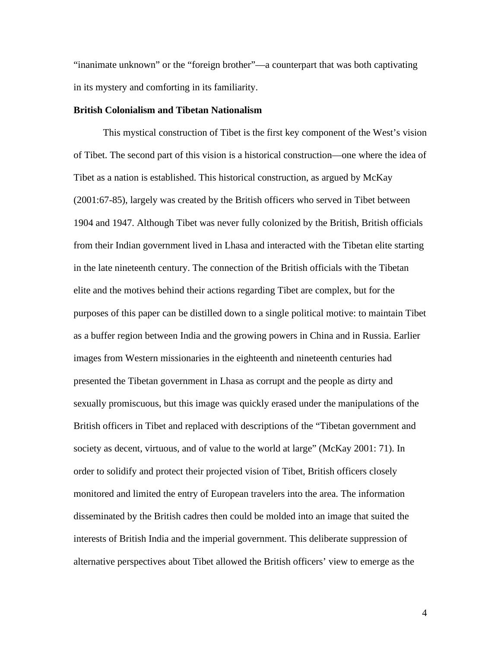"inanimate unknown" or the "foreign brother"—a counterpart that was both captivating in its mystery and comforting in its familiarity.

### **British Colonialism and Tibetan Nationalism**

This mystical construction of Tibet is the first key component of the West's vision of Tibet. The second part of this vision is a historical construction—one where the idea of Tibet as a nation is established. This historical construction, as argued by McKay (2001:67-85), largely was created by the British officers who served in Tibet between 1904 and 1947. Although Tibet was never fully colonized by the British, British officials from their Indian government lived in Lhasa and interacted with the Tibetan elite starting in the late nineteenth century. The connection of the British officials with the Tibetan elite and the motives behind their actions regarding Tibet are complex, but for the purposes of this paper can be distilled down to a single political motive: to maintain Tibet as a buffer region between India and the growing powers in China and in Russia. Earlier images from Western missionaries in the eighteenth and nineteenth centuries had presented the Tibetan government in Lhasa as corrupt and the people as dirty and sexually promiscuous, but this image was quickly erased under the manipulations of the British officers in Tibet and replaced with descriptions of the "Tibetan government and society as decent, virtuous, and of value to the world at large" (McKay 2001: 71). In order to solidify and protect their projected vision of Tibet, British officers closely monitored and limited the entry of European travelers into the area. The information disseminated by the British cadres then could be molded into an image that suited the interests of British India and the imperial government. This deliberate suppression of alternative perspectives about Tibet allowed the British officers' view to emerge as the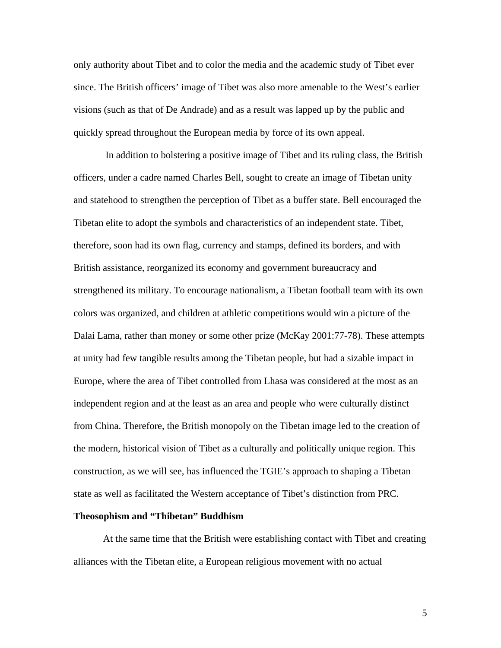only authority about Tibet and to color the media and the academic study of Tibet ever since. The British officers' image of Tibet was also more amenable to the West's earlier visions (such as that of De Andrade) and as a result was lapped up by the public and quickly spread throughout the European media by force of its own appeal.

In addition to bolstering a positive image of Tibet and its ruling class, the British officers, under a cadre named Charles Bell, sought to create an image of Tibetan unity and statehood to strengthen the perception of Tibet as a buffer state. Bell encouraged the Tibetan elite to adopt the symbols and characteristics of an independent state. Tibet, therefore, soon had its own flag, currency and stamps, defined its borders, and with British assistance, reorganized its economy and government bureaucracy and strengthened its military. To encourage nationalism, a Tibetan football team with its own colors was organized, and children at athletic competitions would win a picture of the Dalai Lama, rather than money or some other prize (McKay 2001:77-78). These attempts at unity had few tangible results among the Tibetan people, but had a sizable impact in Europe, where the area of Tibet controlled from Lhasa was considered at the most as an independent region and at the least as an area and people who were culturally distinct from China. Therefore, the British monopoly on the Tibetan image led to the creation of the modern, historical vision of Tibet as a culturally and politically unique region. This construction, as we will see, has influenced the TGIE's approach to shaping a Tibetan state as well as facilitated the Western acceptance of Tibet's distinction from PRC.

#### **Theosophism and "Thibetan" Buddhism**

At the same time that the British were establishing contact with Tibet and creating alliances with the Tibetan elite, a European religious movement with no actual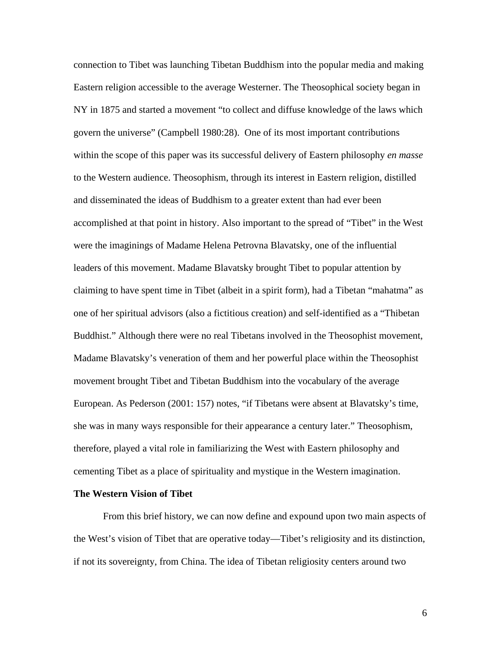connection to Tibet was launching Tibetan Buddhism into the popular media and making Eastern religion accessible to the average Westerner. The Theosophical society began in NY in 1875 and started a movement "to collect and diffuse knowledge of the laws which govern the universe" (Campbell 1980:28). One of its most important contributions within the scope of this paper was its successful delivery of Eastern philosophy *en masse* to the Western audience. Theosophism, through its interest in Eastern religion, distilled and disseminated the ideas of Buddhism to a greater extent than had ever been accomplished at that point in history. Also important to the spread of "Tibet" in the West were the imaginings of Madame Helena Petrovna Blavatsky, one of the influential leaders of this movement. Madame Blavatsky brought Tibet to popular attention by claiming to have spent time in Tibet (albeit in a spirit form), had a Tibetan "mahatma" as one of her spiritual advisors (also a fictitious creation) and self-identified as a "Thibetan Buddhist." Although there were no real Tibetans involved in the Theosophist movement, Madame Blavatsky's veneration of them and her powerful place within the Theosophist movement brought Tibet and Tibetan Buddhism into the vocabulary of the average European. As Pederson (2001: 157) notes, "if Tibetans were absent at Blavatsky's time, she was in many ways responsible for their appearance a century later." Theosophism, therefore, played a vital role in familiarizing the West with Eastern philosophy and cementing Tibet as a place of spirituality and mystique in the Western imagination.

### **The Western Vision of Tibet**

From this brief history, we can now define and expound upon two main aspects of the West's vision of Tibet that are operative today—Tibet's religiosity and its distinction, if not its sovereignty, from China. The idea of Tibetan religiosity centers around two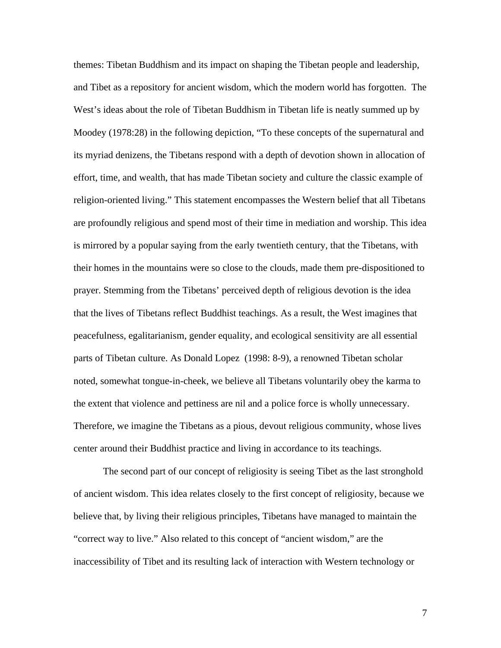themes: Tibetan Buddhism and its impact on shaping the Tibetan people and leadership, and Tibet as a repository for ancient wisdom, which the modern world has forgotten. The West's ideas about the role of Tibetan Buddhism in Tibetan life is neatly summed up by Moodey (1978:28) in the following depiction, "To these concepts of the supernatural and its myriad denizens, the Tibetans respond with a depth of devotion shown in allocation of effort, time, and wealth, that has made Tibetan society and culture the classic example of religion-oriented living." This statement encompasses the Western belief that all Tibetans are profoundly religious and spend most of their time in mediation and worship. This idea is mirrored by a popular saying from the early twentieth century, that the Tibetans, with their homes in the mountains were so close to the clouds, made them pre-dispositioned to prayer. Stemming from the Tibetans' perceived depth of religious devotion is the idea that the lives of Tibetans reflect Buddhist teachings. As a result, the West imagines that peacefulness, egalitarianism, gender equality, and ecological sensitivity are all essential parts of Tibetan culture. As Donald Lopez (1998: 8-9), a renowned Tibetan scholar noted, somewhat tongue-in-cheek, we believe all Tibetans voluntarily obey the karma to the extent that violence and pettiness are nil and a police force is wholly unnecessary. Therefore, we imagine the Tibetans as a pious, devout religious community, whose lives center around their Buddhist practice and living in accordance to its teachings.

The second part of our concept of religiosity is seeing Tibet as the last stronghold of ancient wisdom. This idea relates closely to the first concept of religiosity, because we believe that, by living their religious principles, Tibetans have managed to maintain the "correct way to live." Also related to this concept of "ancient wisdom," are the inaccessibility of Tibet and its resulting lack of interaction with Western technology or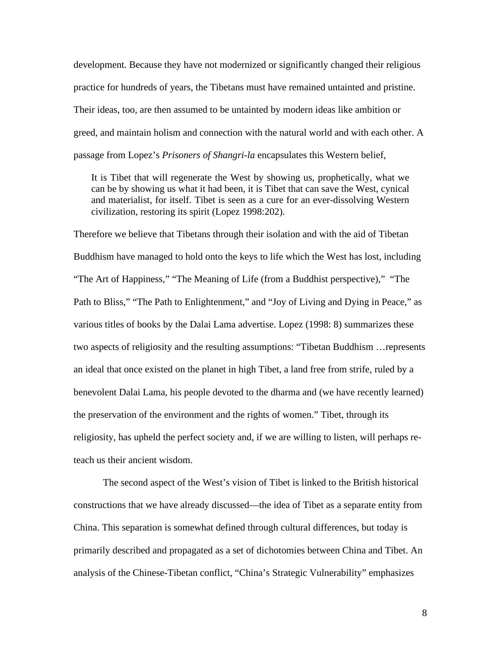development. Because they have not modernized or significantly changed their religious practice for hundreds of years, the Tibetans must have remained untainted and pristine. Their ideas, too, are then assumed to be untainted by modern ideas like ambition or greed, and maintain holism and connection with the natural world and with each other. A passage from Lopez's *Prisoners of Shangri-la* encapsulates this Western belief,

It is Tibet that will regenerate the West by showing us, prophetically, what we can be by showing us what it had been, it is Tibet that can save the West, cynical and materialist, for itself. Tibet is seen as a cure for an ever-dissolving Western civilization, restoring its spirit (Lopez 1998:202).

Therefore we believe that Tibetans through their isolation and with the aid of Tibetan Buddhism have managed to hold onto the keys to life which the West has lost, including "The Art of Happiness," "The Meaning of Life (from a Buddhist perspective)," "The Path to Bliss," "The Path to Enlightenment," and "Joy of Living and Dying in Peace," as various titles of books by the Dalai Lama advertise. Lopez (1998: 8) summarizes these two aspects of religiosity and the resulting assumptions: "Tibetan Buddhism …represents an ideal that once existed on the planet in high Tibet, a land free from strife, ruled by a benevolent Dalai Lama, his people devoted to the dharma and (we have recently learned) the preservation of the environment and the rights of women." Tibet, through its religiosity, has upheld the perfect society and, if we are willing to listen, will perhaps reteach us their ancient wisdom.

The second aspect of the West's vision of Tibet is linked to the British historical constructions that we have already discussed—the idea of Tibet as a separate entity from China. This separation is somewhat defined through cultural differences, but today is primarily described and propagated as a set of dichotomies between China and Tibet. An analysis of the Chinese-Tibetan conflict, "China's Strategic Vulnerability" emphasizes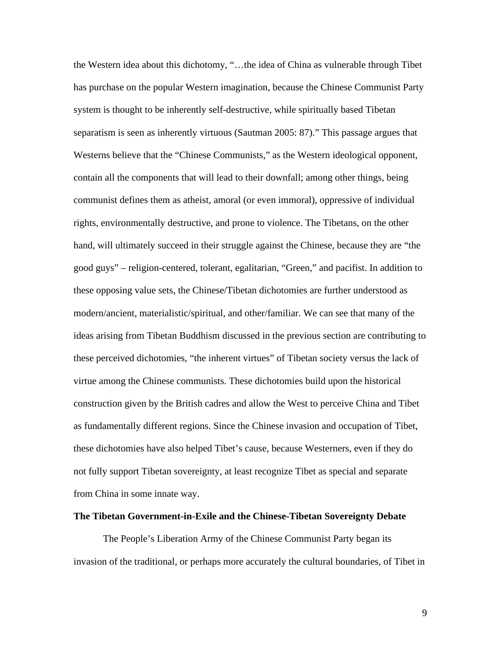the Western idea about this dichotomy, "…the idea of China as vulnerable through Tibet has purchase on the popular Western imagination, because the Chinese Communist Party system is thought to be inherently self-destructive, while spiritually based Tibetan separatism is seen as inherently virtuous (Sautman 2005: 87)." This passage argues that Westerns believe that the "Chinese Communists," as the Western ideological opponent, contain all the components that will lead to their downfall; among other things, being communist defines them as atheist, amoral (or even immoral), oppressive of individual rights, environmentally destructive, and prone to violence. The Tibetans, on the other hand, will ultimately succeed in their struggle against the Chinese, because they are "the good guys" – religion-centered, tolerant, egalitarian, "Green," and pacifist. In addition to these opposing value sets, the Chinese/Tibetan dichotomies are further understood as modern/ancient, materialistic/spiritual, and other/familiar. We can see that many of the ideas arising from Tibetan Buddhism discussed in the previous section are contributing to these perceived dichotomies, "the inherent virtues" of Tibetan society versus the lack of virtue among the Chinese communists. These dichotomies build upon the historical construction given by the British cadres and allow the West to perceive China and Tibet as fundamentally different regions. Since the Chinese invasion and occupation of Tibet, these dichotomies have also helped Tibet's cause, because Westerners, even if they do not fully support Tibetan sovereignty, at least recognize Tibet as special and separate from China in some innate way.

#### **The Tibetan Government-in-Exile and the Chinese-Tibetan Sovereignty Debate**

The People's Liberation Army of the Chinese Communist Party began its invasion of the traditional, or perhaps more accurately the cultural boundaries, of Tibet in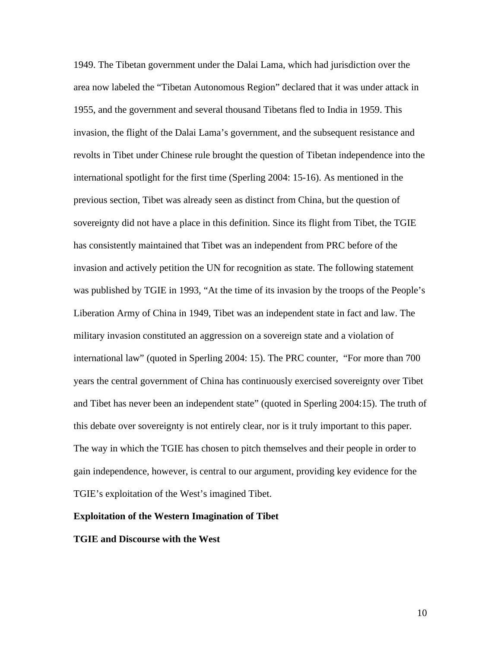1949. The Tibetan government under the Dalai Lama, which had jurisdiction over the area now labeled the "Tibetan Autonomous Region" declared that it was under attack in 1955, and the government and several thousand Tibetans fled to India in 1959. This invasion, the flight of the Dalai Lama's government, and the subsequent resistance and revolts in Tibet under Chinese rule brought the question of Tibetan independence into the international spotlight for the first time (Sperling 2004: 15-16). As mentioned in the previous section, Tibet was already seen as distinct from China, but the question of sovereignty did not have a place in this definition. Since its flight from Tibet, the TGIE has consistently maintained that Tibet was an independent from PRC before of the invasion and actively petition the UN for recognition as state. The following statement was published by TGIE in 1993, "At the time of its invasion by the troops of the People's Liberation Army of China in 1949, Tibet was an independent state in fact and law. The military invasion constituted an aggression on a sovereign state and a violation of international law" (quoted in Sperling 2004: 15). The PRC counter, "For more than 700 years the central government of China has continuously exercised sovereignty over Tibet and Tibet has never been an independent state" (quoted in Sperling 2004:15). The truth of this debate over sovereignty is not entirely clear, nor is it truly important to this paper. The way in which the TGIE has chosen to pitch themselves and their people in order to gain independence, however, is central to our argument, providing key evidence for the TGIE's exploitation of the West's imagined Tibet.

### **Exploitation of the Western Imagination of Tibet**

### **TGIE and Discourse with the West**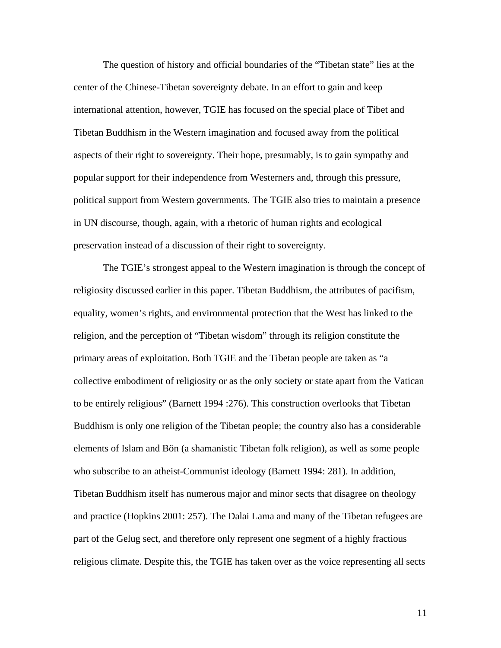The question of history and official boundaries of the "Tibetan state" lies at the center of the Chinese-Tibetan sovereignty debate. In an effort to gain and keep international attention, however, TGIE has focused on the special place of Tibet and Tibetan Buddhism in the Western imagination and focused away from the political aspects of their right to sovereignty. Their hope, presumably, is to gain sympathy and popular support for their independence from Westerners and, through this pressure, political support from Western governments. The TGIE also tries to maintain a presence in UN discourse, though, again, with a rhetoric of human rights and ecological preservation instead of a discussion of their right to sovereignty.

The TGIE's strongest appeal to the Western imagination is through the concept of religiosity discussed earlier in this paper. Tibetan Buddhism, the attributes of pacifism, equality, women's rights, and environmental protection that the West has linked to the religion, and the perception of "Tibetan wisdom" through its religion constitute the primary areas of exploitation. Both TGIE and the Tibetan people are taken as "a collective embodiment of religiosity or as the only society or state apart from the Vatican to be entirely religious" (Barnett 1994 :276). This construction overlooks that Tibetan Buddhism is only one religion of the Tibetan people; the country also has a considerable elements of Islam and Bön (a shamanistic Tibetan folk religion), as well as some people who subscribe to an atheist-Communist ideology (Barnett 1994: 281). In addition, Tibetan Buddhism itself has numerous major and minor sects that disagree on theology and practice (Hopkins 2001: 257). The Dalai Lama and many of the Tibetan refugees are part of the Gelug sect, and therefore only represent one segment of a highly fractious religious climate. Despite this, the TGIE has taken over as the voice representing all sects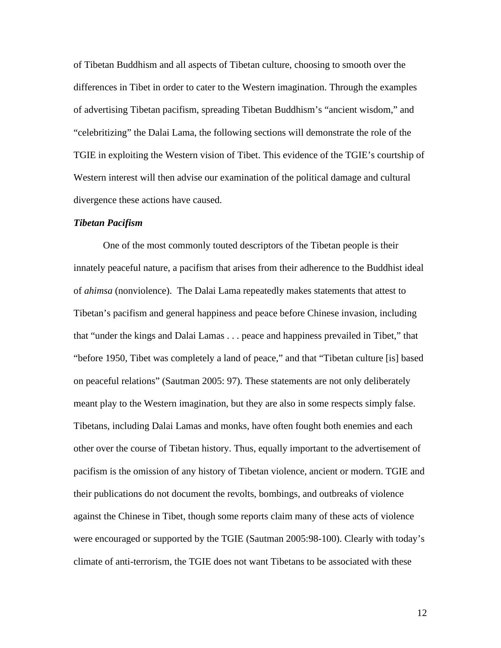of Tibetan Buddhism and all aspects of Tibetan culture, choosing to smooth over the differences in Tibet in order to cater to the Western imagination. Through the examples of advertising Tibetan pacifism, spreading Tibetan Buddhism's "ancient wisdom," and "celebritizing" the Dalai Lama, the following sections will demonstrate the role of the TGIE in exploiting the Western vision of Tibet. This evidence of the TGIE's courtship of Western interest will then advise our examination of the political damage and cultural divergence these actions have caused.

### *Tibetan Pacifism*

One of the most commonly touted descriptors of the Tibetan people is their innately peaceful nature, a pacifism that arises from their adherence to the Buddhist ideal of *ahimsa* (nonviolence). The Dalai Lama repeatedly makes statements that attest to Tibetan's pacifism and general happiness and peace before Chinese invasion, including that "under the kings and Dalai Lamas . . . peace and happiness prevailed in Tibet," that "before 1950, Tibet was completely a land of peace," and that "Tibetan culture [is] based on peaceful relations" (Sautman 2005: 97). These statements are not only deliberately meant play to the Western imagination, but they are also in some respects simply false. Tibetans, including Dalai Lamas and monks, have often fought both enemies and each other over the course of Tibetan history. Thus, equally important to the advertisement of pacifism is the omission of any history of Tibetan violence, ancient or modern. TGIE and their publications do not document the revolts, bombings, and outbreaks of violence against the Chinese in Tibet, though some reports claim many of these acts of violence were encouraged or supported by the TGIE (Sautman 2005:98-100). Clearly with today's climate of anti-terrorism, the TGIE does not want Tibetans to be associated with these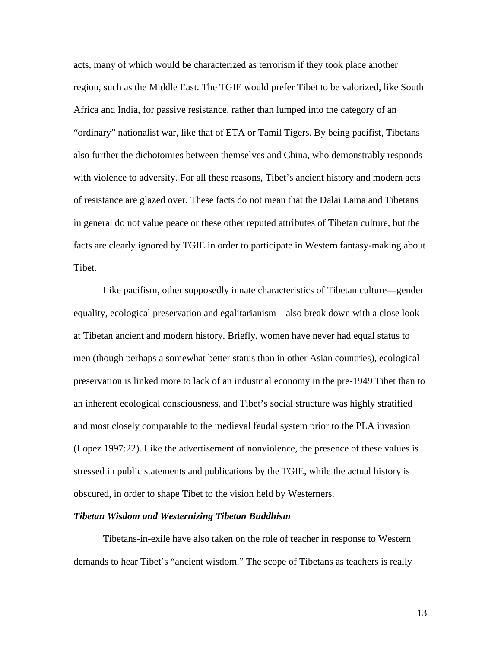acts, many of which would be characterized as terrorism if they took place another region, such as the Middle East. The TGIE would prefer Tibet to be valorized, like South Africa and India, for passive resistance, rather than lumped into the category of an "ordinary" nationalist war, like that of ETA or Tamil Tigers. By being pacifist, Tibetans also further the dichotomies between themselves and China, who demonstrably responds with violence to adversity. For all these reasons, Tibet's ancient history and modern acts of resistance are glazed over. These facts do not mean that the Dalai Lama and Tibetans in general do not value peace or these other reputed attributes of Tibetan culture, but the facts are clearly ignored by TGIE in order to participate in Western fantasy-making about Tibet.

Like pacifism, other supposedly innate characteristics of Tibetan culture—gender equality, ecological preservation and egalitarianism—also break down with a close look at Tibetan ancient and modern history. Briefly, women have never had equal status to men (though perhaps a somewhat better status than in other Asian countries), ecological preservation is linked more to lack of an industrial economy in the pre-1949 Tibet than to an inherent ecological consciousness, and Tibet's social structure was highly stratified and most closely comparable to the medieval feudal system prior to the PLA invasion (Lopez 1997:22). Like the advertisement of nonviolence, the presence of these values is stressed in public statements and publications by the TGIE, while the actual history is obscured, in order to shape Tibet to the vision held by Westerners.

#### *Tibetan Wisdom and Westernizing Tibetan Buddhism*

Tibetans-in-exile have also taken on the role of teacher in response to Western demands to hear Tibet's "ancient wisdom." The scope of Tibetans as teachers is really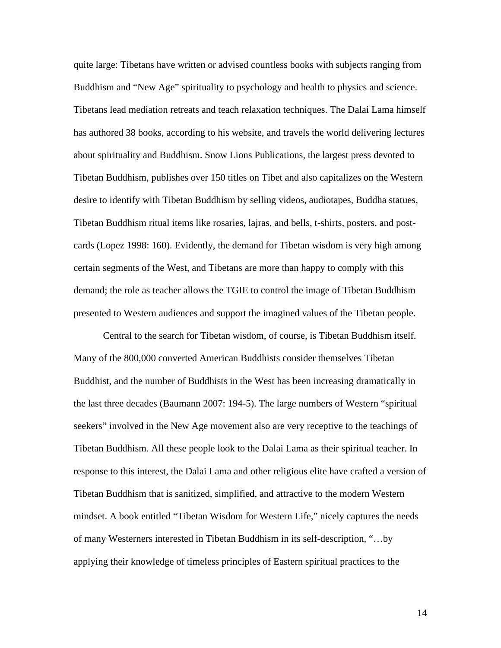quite large: Tibetans have written or advised countless books with subjects ranging from Buddhism and "New Age" spirituality to psychology and health to physics and science. Tibetans lead mediation retreats and teach relaxation techniques. The Dalai Lama himself has authored 38 books, according to his website, and travels the world delivering lectures about spirituality and Buddhism. Snow Lions Publications, the largest press devoted to Tibetan Buddhism, publishes over 150 titles on Tibet and also capitalizes on the Western desire to identify with Tibetan Buddhism by selling videos, audiotapes, Buddha statues, Tibetan Buddhism ritual items like rosaries, lajras, and bells, t-shirts, posters, and postcards (Lopez 1998: 160). Evidently, the demand for Tibetan wisdom is very high among certain segments of the West, and Tibetans are more than happy to comply with this demand; the role as teacher allows the TGIE to control the image of Tibetan Buddhism presented to Western audiences and support the imagined values of the Tibetan people.

Central to the search for Tibetan wisdom, of course, is Tibetan Buddhism itself. Many of the 800,000 converted American Buddhists consider themselves Tibetan Buddhist, and the number of Buddhists in the West has been increasing dramatically in the last three decades (Baumann 2007: 194-5). The large numbers of Western "spiritual seekers" involved in the New Age movement also are very receptive to the teachings of Tibetan Buddhism. All these people look to the Dalai Lama as their spiritual teacher. In response to this interest, the Dalai Lama and other religious elite have crafted a version of Tibetan Buddhism that is sanitized, simplified, and attractive to the modern Western mindset. A book entitled "Tibetan Wisdom for Western Life," nicely captures the needs of many Westerners interested in Tibetan Buddhism in its self-description, "…by applying their knowledge of timeless principles of Eastern spiritual practices to the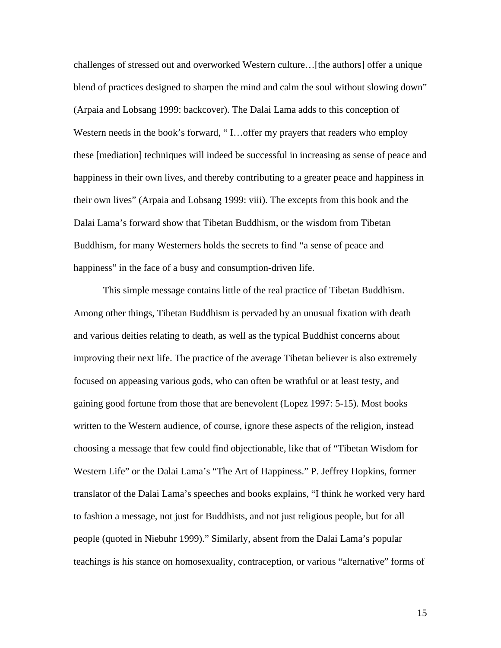challenges of stressed out and overworked Western culture…[the authors] offer a unique blend of practices designed to sharpen the mind and calm the soul without slowing down" (Arpaia and Lobsang 1999: backcover). The Dalai Lama adds to this conception of Western needs in the book's forward, "I... offer my prayers that readers who employ these [mediation] techniques will indeed be successful in increasing as sense of peace and happiness in their own lives, and thereby contributing to a greater peace and happiness in their own lives" (Arpaia and Lobsang 1999: viii). The excepts from this book and the Dalai Lama's forward show that Tibetan Buddhism, or the wisdom from Tibetan Buddhism, for many Westerners holds the secrets to find "a sense of peace and happiness" in the face of a busy and consumption-driven life.

This simple message contains little of the real practice of Tibetan Buddhism. Among other things, Tibetan Buddhism is pervaded by an unusual fixation with death and various deities relating to death, as well as the typical Buddhist concerns about improving their next life. The practice of the average Tibetan believer is also extremely focused on appeasing various gods, who can often be wrathful or at least testy, and gaining good fortune from those that are benevolent (Lopez 1997: 5-15). Most books written to the Western audience, of course, ignore these aspects of the religion, instead choosing a message that few could find objectionable, like that of "Tibetan Wisdom for Western Life" or the Dalai Lama's "The Art of Happiness." P. Jeffrey Hopkins, former translator of the Dalai Lama's speeches and books explains, "I think he worked very hard to fashion a message, not just for Buddhists, and not just religious people, but for all people (quoted in Niebuhr 1999)." Similarly, absent from the Dalai Lama's popular teachings is his stance on homosexuality, contraception, or various "alternative" forms of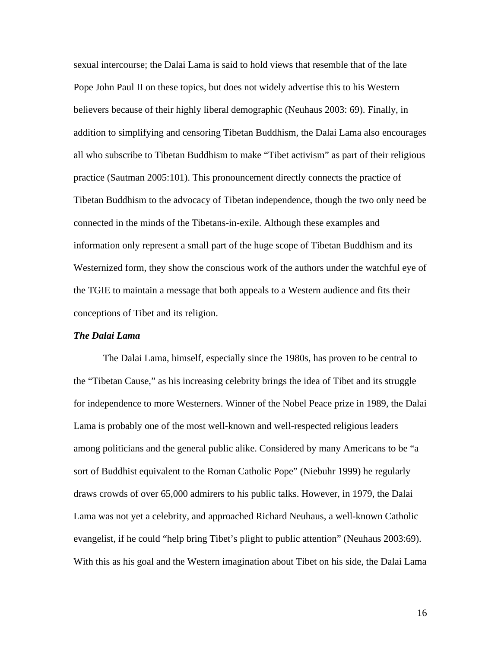sexual intercourse; the Dalai Lama is said to hold views that resemble that of the late Pope John Paul II on these topics, but does not widely advertise this to his Western believers because of their highly liberal demographic (Neuhaus 2003: 69). Finally, in addition to simplifying and censoring Tibetan Buddhism, the Dalai Lama also encourages all who subscribe to Tibetan Buddhism to make "Tibet activism" as part of their religious practice (Sautman 2005:101). This pronouncement directly connects the practice of Tibetan Buddhism to the advocacy of Tibetan independence, though the two only need be connected in the minds of the Tibetans-in-exile. Although these examples and information only represent a small part of the huge scope of Tibetan Buddhism and its Westernized form, they show the conscious work of the authors under the watchful eye of the TGIE to maintain a message that both appeals to a Western audience and fits their conceptions of Tibet and its religion.

### *The Dalai Lama*

The Dalai Lama, himself, especially since the 1980s, has proven to be central to the "Tibetan Cause," as his increasing celebrity brings the idea of Tibet and its struggle for independence to more Westerners. Winner of the Nobel Peace prize in 1989, the Dalai Lama is probably one of the most well-known and well-respected religious leaders among politicians and the general public alike. Considered by many Americans to be "a sort of Buddhist equivalent to the Roman Catholic Pope" (Niebuhr 1999) he regularly draws crowds of over 65,000 admirers to his public talks. However, in 1979, the Dalai Lama was not yet a celebrity, and approached Richard Neuhaus, a well-known Catholic evangelist, if he could "help bring Tibet's plight to public attention" (Neuhaus 2003:69). With this as his goal and the Western imagination about Tibet on his side, the Dalai Lama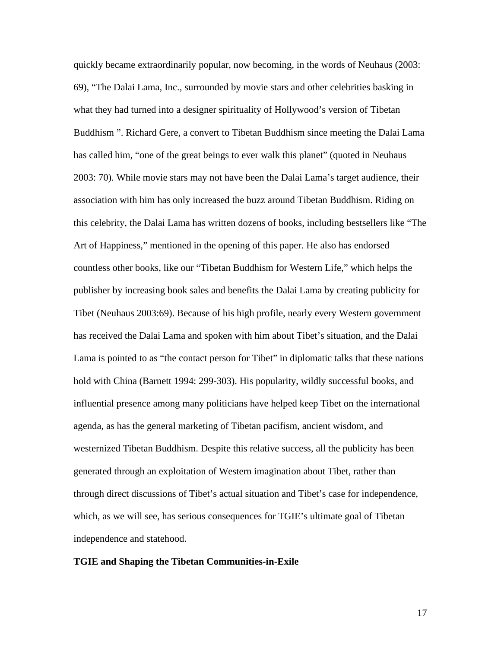quickly became extraordinarily popular, now becoming, in the words of Neuhaus (2003: 69), "The Dalai Lama, Inc., surrounded by movie stars and other celebrities basking in what they had turned into a designer spirituality of Hollywood's version of Tibetan Buddhism ". Richard Gere, a convert to Tibetan Buddhism since meeting the Dalai Lama has called him, "one of the great beings to ever walk this planet" (quoted in Neuhaus 2003: 70). While movie stars may not have been the Dalai Lama's target audience, their association with him has only increased the buzz around Tibetan Buddhism. Riding on this celebrity, the Dalai Lama has written dozens of books, including bestsellers like "The Art of Happiness," mentioned in the opening of this paper. He also has endorsed countless other books, like our "Tibetan Buddhism for Western Life," which helps the publisher by increasing book sales and benefits the Dalai Lama by creating publicity for Tibet (Neuhaus 2003:69). Because of his high profile, nearly every Western government has received the Dalai Lama and spoken with him about Tibet's situation, and the Dalai Lama is pointed to as "the contact person for Tibet" in diplomatic talks that these nations hold with China (Barnett 1994: 299-303). His popularity, wildly successful books, and influential presence among many politicians have helped keep Tibet on the international agenda, as has the general marketing of Tibetan pacifism, ancient wisdom, and westernized Tibetan Buddhism. Despite this relative success, all the publicity has been generated through an exploitation of Western imagination about Tibet, rather than through direct discussions of Tibet's actual situation and Tibet's case for independence, which, as we will see, has serious consequences for TGIE's ultimate goal of Tibetan independence and statehood.

#### **TGIE and Shaping the Tibetan Communities-in-Exile**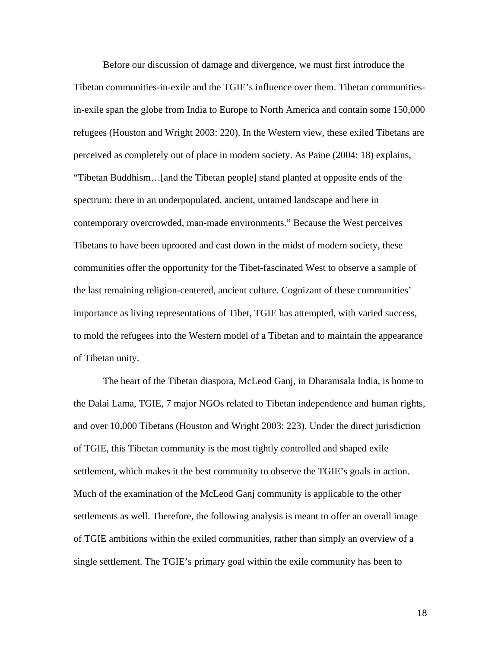Before our discussion of damage and divergence, we must first introduce the Tibetan communities-in-exile and the TGIE's influence over them. Tibetan communitiesin-exile span the globe from India to Europe to North America and contain some 150,000 refugees (Houston and Wright 2003: 220). In the Western view, these exiled Tibetans are perceived as completely out of place in modern society. As Paine (2004: 18) explains, "Tibetan Buddhism…[and the Tibetan people] stand planted at opposite ends of the spectrum: there in an underpopulated, ancient, untamed landscape and here in contemporary overcrowded, man-made environments." Because the West perceives Tibetans to have been uprooted and cast down in the midst of modern society, these communities offer the opportunity for the Tibet-fascinated West to observe a sample of the last remaining religion-centered, ancient culture. Cognizant of these communities' importance as living representations of Tibet, TGIE has attempted, with varied success, to mold the refugees into the Western model of a Tibetan and to maintain the appearance of Tibetan unity.

The heart of the Tibetan diaspora, McLeod Ganj, in Dharamsala India, is home to the Dalai Lama, TGIE, 7 major NGOs related to Tibetan independence and human rights, and over 10,000 Tibetans (Houston and Wright 2003: 223). Under the direct jurisdiction of TGIE, this Tibetan community is the most tightly controlled and shaped exile settlement, which makes it the best community to observe the TGIE's goals in action. Much of the examination of the McLeod Ganj community is applicable to the other settlements as well. Therefore, the following analysis is meant to offer an overall image of TGIE ambitions within the exiled communities, rather than simply an overview of a single settlement. The TGIE's primary goal within the exile community has been to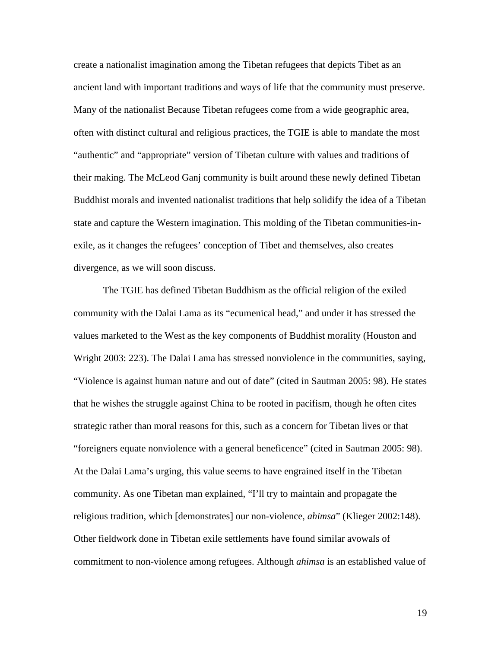create a nationalist imagination among the Tibetan refugees that depicts Tibet as an ancient land with important traditions and ways of life that the community must preserve. Many of the nationalist Because Tibetan refugees come from a wide geographic area, often with distinct cultural and religious practices, the TGIE is able to mandate the most "authentic" and "appropriate" version of Tibetan culture with values and traditions of their making. The McLeod Ganj community is built around these newly defined Tibetan Buddhist morals and invented nationalist traditions that help solidify the idea of a Tibetan state and capture the Western imagination. This molding of the Tibetan communities-inexile, as it changes the refugees' conception of Tibet and themselves, also creates divergence, as we will soon discuss.

The TGIE has defined Tibetan Buddhism as the official religion of the exiled community with the Dalai Lama as its "ecumenical head," and under it has stressed the values marketed to the West as the key components of Buddhist morality (Houston and Wright 2003: 223). The Dalai Lama has stressed nonviolence in the communities, saying, "Violence is against human nature and out of date" (cited in Sautman 2005: 98). He states that he wishes the struggle against China to be rooted in pacifism, though he often cites strategic rather than moral reasons for this, such as a concern for Tibetan lives or that "foreigners equate nonviolence with a general beneficence" (cited in Sautman 2005: 98). At the Dalai Lama's urging, this value seems to have engrained itself in the Tibetan community. As one Tibetan man explained, "I'll try to maintain and propagate the religious tradition, which [demonstrates] our non-violence, *ahimsa*" (Klieger 2002:148). Other fieldwork done in Tibetan exile settlements have found similar avowals of commitment to non-violence among refugees. Although *ahimsa* is an established value of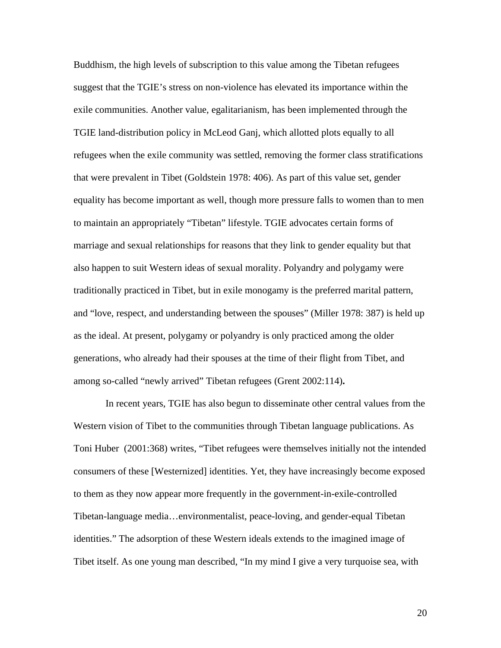Buddhism, the high levels of subscription to this value among the Tibetan refugees suggest that the TGIE's stress on non-violence has elevated its importance within the exile communities. Another value, egalitarianism, has been implemented through the TGIE land-distribution policy in McLeod Ganj, which allotted plots equally to all refugees when the exile community was settled, removing the former class stratifications that were prevalent in Tibet (Goldstein 1978: 406). As part of this value set, gender equality has become important as well, though more pressure falls to women than to men to maintain an appropriately "Tibetan" lifestyle. TGIE advocates certain forms of marriage and sexual relationships for reasons that they link to gender equality but that also happen to suit Western ideas of sexual morality. Polyandry and polygamy were traditionally practiced in Tibet, but in exile monogamy is the preferred marital pattern, and "love, respect, and understanding between the spouses" (Miller 1978: 387) is held up as the ideal. At present, polygamy or polyandry is only practiced among the older generations, who already had their spouses at the time of their flight from Tibet, and among so-called "newly arrived" Tibetan refugees (Grent 2002:114)**.** 

In recent years, TGIE has also begun to disseminate other central values from the Western vision of Tibet to the communities through Tibetan language publications. As Toni Huber (2001:368) writes, "Tibet refugees were themselves initially not the intended consumers of these [Westernized] identities. Yet, they have increasingly become exposed to them as they now appear more frequently in the government-in-exile-controlled Tibetan-language media…environmentalist, peace-loving, and gender-equal Tibetan identities." The adsorption of these Western ideals extends to the imagined image of Tibet itself. As one young man described, "In my mind I give a very turquoise sea, with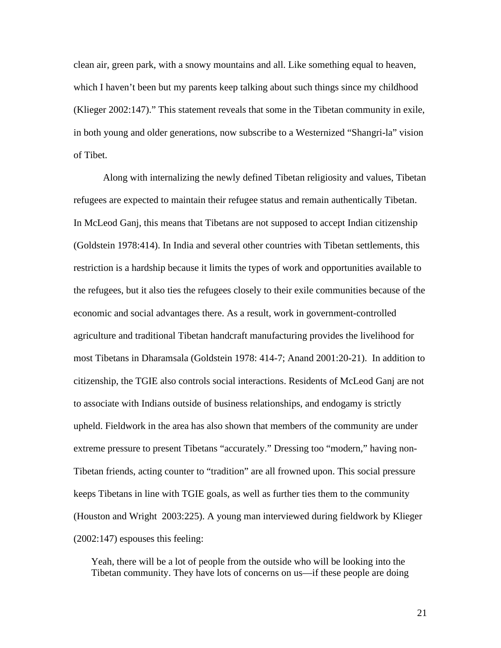clean air, green park, with a snowy mountains and all. Like something equal to heaven, which I haven't been but my parents keep talking about such things since my childhood (Klieger 2002:147)." This statement reveals that some in the Tibetan community in exile, in both young and older generations, now subscribe to a Westernized "Shangri-la" vision of Tibet.

Along with internalizing the newly defined Tibetan religiosity and values, Tibetan refugees are expected to maintain their refugee status and remain authentically Tibetan. In McLeod Ganj, this means that Tibetans are not supposed to accept Indian citizenship (Goldstein 1978:414). In India and several other countries with Tibetan settlements, this restriction is a hardship because it limits the types of work and opportunities available to the refugees, but it also ties the refugees closely to their exile communities because of the economic and social advantages there. As a result, work in government-controlled agriculture and traditional Tibetan handcraft manufacturing provides the livelihood for most Tibetans in Dharamsala (Goldstein 1978: 414-7; Anand 2001:20-21). In addition to citizenship, the TGIE also controls social interactions. Residents of McLeod Ganj are not to associate with Indians outside of business relationships, and endogamy is strictly upheld. Fieldwork in the area has also shown that members of the community are under extreme pressure to present Tibetans "accurately." Dressing too "modern," having non-Tibetan friends, acting counter to "tradition" are all frowned upon. This social pressure keeps Tibetans in line with TGIE goals, as well as further ties them to the community (Houston and Wright 2003:225). A young man interviewed during fieldwork by Klieger (2002:147) espouses this feeling:

Yeah, there will be a lot of people from the outside who will be looking into the Tibetan community. They have lots of concerns on us—if these people are doing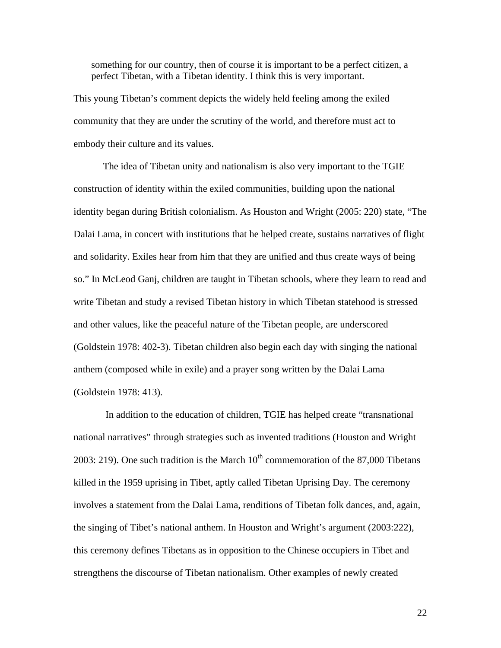something for our country, then of course it is important to be a perfect citizen, a perfect Tibetan, with a Tibetan identity. I think this is very important.

This young Tibetan's comment depicts the widely held feeling among the exiled community that they are under the scrutiny of the world, and therefore must act to embody their culture and its values.

The idea of Tibetan unity and nationalism is also very important to the TGIE construction of identity within the exiled communities, building upon the national identity began during British colonialism. As Houston and Wright (2005: 220) state, "The Dalai Lama, in concert with institutions that he helped create, sustains narratives of flight and solidarity. Exiles hear from him that they are unified and thus create ways of being so." In McLeod Ganj, children are taught in Tibetan schools, where they learn to read and write Tibetan and study a revised Tibetan history in which Tibetan statehood is stressed and other values, like the peaceful nature of the Tibetan people, are underscored (Goldstein 1978: 402-3). Tibetan children also begin each day with singing the national anthem (composed while in exile) and a prayer song written by the Dalai Lama (Goldstein 1978: 413).

In addition to the education of children, TGIE has helped create "transnational national narratives" through strategies such as invented traditions (Houston and Wright 2003: 219). One such tradition is the March  $10^{th}$  commemoration of the 87,000 Tibetans killed in the 1959 uprising in Tibet, aptly called Tibetan Uprising Day. The ceremony involves a statement from the Dalai Lama, renditions of Tibetan folk dances, and, again, the singing of Tibet's national anthem. In Houston and Wright's argument (2003:222), this ceremony defines Tibetans as in opposition to the Chinese occupiers in Tibet and strengthens the discourse of Tibetan nationalism. Other examples of newly created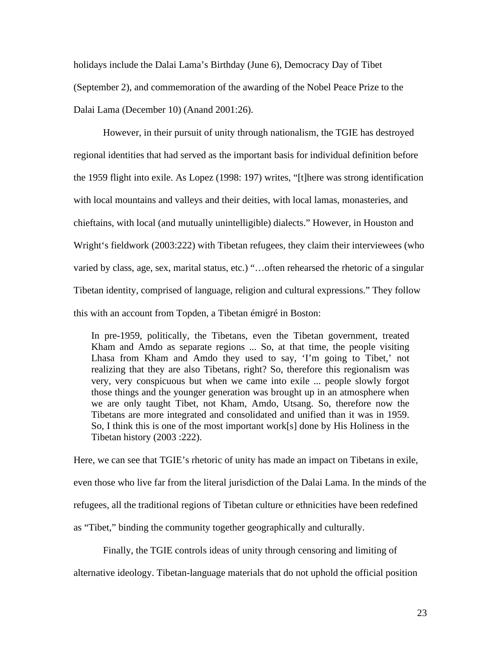holidays include the Dalai Lama's Birthday (June 6), Democracy Day of Tibet (September 2), and commemoration of the awarding of the Nobel Peace Prize to the Dalai Lama (December 10) (Anand 2001:26).

However, in their pursuit of unity through nationalism, the TGIE has destroyed regional identities that had served as the important basis for individual definition before the 1959 flight into exile. As Lopez (1998: 197) writes, "[t]here was strong identification with local mountains and valleys and their deities, with local lamas, monasteries, and chieftains, with local (and mutually unintelligible) dialects." However, in Houston and Wright's fieldwork (2003:222) with Tibetan refugees, they claim their interviewees (who varied by class, age, sex, marital status, etc.) "…often rehearsed the rhetoric of a singular Tibetan identity, comprised of language, religion and cultural expressions." They follow this with an account from Topden, a Tibetan émigré in Boston:

In pre-1959, politically, the Tibetans, even the Tibetan government, treated Kham and Amdo as separate regions ... So, at that time, the people visiting Lhasa from Kham and Amdo they used to say, 'I'm going to Tibet,' not realizing that they are also Tibetans, right? So, therefore this regionalism was very, very conspicuous but when we came into exile ... people slowly forgot those things and the younger generation was brought up in an atmosphere when we are only taught Tibet, not Kham, Amdo, Utsang. So, therefore now the Tibetans are more integrated and consolidated and unified than it was in 1959. So, I think this is one of the most important work[s] done by His Holiness in the Tibetan history (2003 :222).

Here, we can see that TGIE's rhetoric of unity has made an impact on Tibetans in exile, even those who live far from the literal jurisdiction of the Dalai Lama. In the minds of the refugees, all the traditional regions of Tibetan culture or ethnicities have been redefined as "Tibet," binding the community together geographically and culturally.

Finally, the TGIE controls ideas of unity through censoring and limiting of

alternative ideology. Tibetan-language materials that do not uphold the official position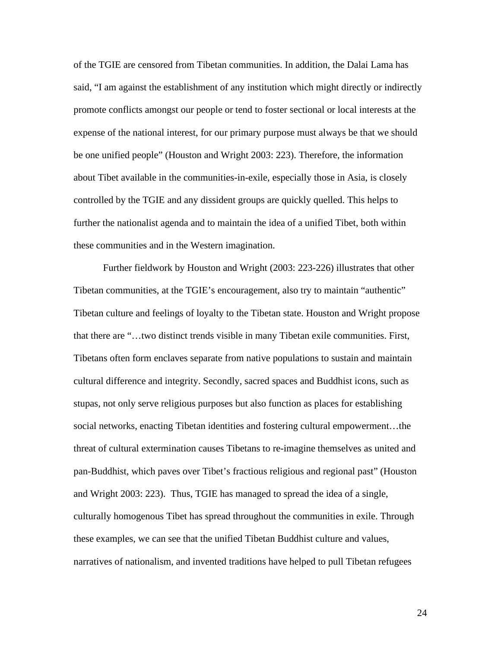of the TGIE are censored from Tibetan communities. In addition, the Dalai Lama has said, "I am against the establishment of any institution which might directly or indirectly promote conflicts amongst our people or tend to foster sectional or local interests at the expense of the national interest, for our primary purpose must always be that we should be one unified people" (Houston and Wright 2003: 223). Therefore, the information about Tibet available in the communities-in-exile, especially those in Asia, is closely controlled by the TGIE and any dissident groups are quickly quelled. This helps to further the nationalist agenda and to maintain the idea of a unified Tibet, both within these communities and in the Western imagination.

Further fieldwork by Houston and Wright (2003: 223-226) illustrates that other Tibetan communities, at the TGIE's encouragement, also try to maintain "authentic" Tibetan culture and feelings of loyalty to the Tibetan state. Houston and Wright propose that there are "…two distinct trends visible in many Tibetan exile communities. First, Tibetans often form enclaves separate from native populations to sustain and maintain cultural difference and integrity. Secondly, sacred spaces and Buddhist icons, such as stupas, not only serve religious purposes but also function as places for establishing social networks, enacting Tibetan identities and fostering cultural empowerment…the threat of cultural extermination causes Tibetans to re-imagine themselves as united and pan-Buddhist, which paves over Tibet's fractious religious and regional past" (Houston and Wright 2003: 223). Thus, TGIE has managed to spread the idea of a single, culturally homogenous Tibet has spread throughout the communities in exile. Through these examples, we can see that the unified Tibetan Buddhist culture and values, narratives of nationalism, and invented traditions have helped to pull Tibetan refugees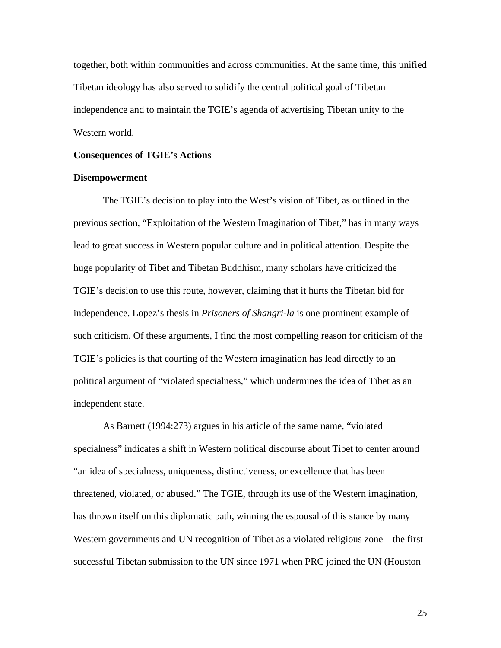together, both within communities and across communities. At the same time, this unified Tibetan ideology has also served to solidify the central political goal of Tibetan independence and to maintain the TGIE's agenda of advertising Tibetan unity to the Western world.

#### **Consequences of TGIE's Actions**

### **Disempowerment**

The TGIE's decision to play into the West's vision of Tibet, as outlined in the previous section, "Exploitation of the Western Imagination of Tibet," has in many ways lead to great success in Western popular culture and in political attention. Despite the huge popularity of Tibet and Tibetan Buddhism, many scholars have criticized the TGIE's decision to use this route, however, claiming that it hurts the Tibetan bid for independence. Lopez's thesis in *Prisoners of Shangri-la* is one prominent example of such criticism. Of these arguments, I find the most compelling reason for criticism of the TGIE's policies is that courting of the Western imagination has lead directly to an political argument of "violated specialness," which undermines the idea of Tibet as an independent state.

As Barnett (1994:273) argues in his article of the same name, "violated specialness" indicates a shift in Western political discourse about Tibet to center around "an idea of specialness, uniqueness, distinctiveness, or excellence that has been threatened, violated, or abused." The TGIE, through its use of the Western imagination, has thrown itself on this diplomatic path, winning the espousal of this stance by many Western governments and UN recognition of Tibet as a violated religious zone—the first successful Tibetan submission to the UN since 1971 when PRC joined the UN (Houston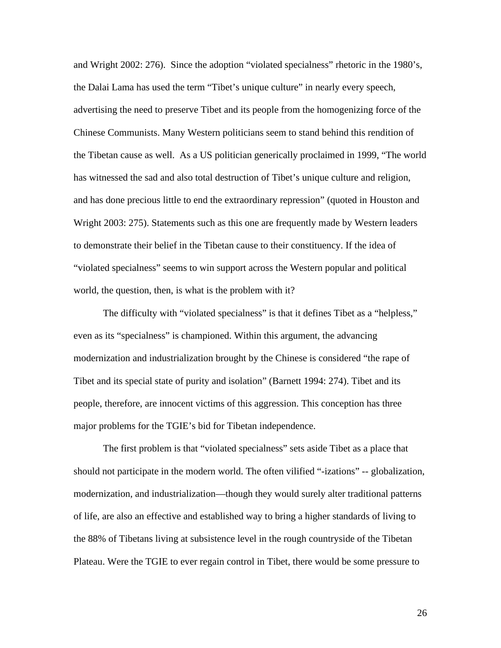and Wright 2002: 276). Since the adoption "violated specialness" rhetoric in the 1980's, the Dalai Lama has used the term "Tibet's unique culture" in nearly every speech, advertising the need to preserve Tibet and its people from the homogenizing force of the Chinese Communists. Many Western politicians seem to stand behind this rendition of the Tibetan cause as well. As a US politician generically proclaimed in 1999, "The world has witnessed the sad and also total destruction of Tibet's unique culture and religion, and has done precious little to end the extraordinary repression" (quoted in Houston and Wright 2003: 275). Statements such as this one are frequently made by Western leaders to demonstrate their belief in the Tibetan cause to their constituency. If the idea of "violated specialness" seems to win support across the Western popular and political world, the question, then, is what is the problem with it?

The difficulty with "violated specialness" is that it defines Tibet as a "helpless," even as its "specialness" is championed. Within this argument, the advancing modernization and industrialization brought by the Chinese is considered "the rape of Tibet and its special state of purity and isolation" (Barnett 1994: 274). Tibet and its people, therefore, are innocent victims of this aggression. This conception has three major problems for the TGIE's bid for Tibetan independence.

The first problem is that "violated specialness" sets aside Tibet as a place that should not participate in the modern world. The often vilified "-izations" -- globalization, modernization, and industrialization—though they would surely alter traditional patterns of life, are also an effective and established way to bring a higher standards of living to the 88% of Tibetans living at subsistence level in the rough countryside of the Tibetan Plateau. Were the TGIE to ever regain control in Tibet, there would be some pressure to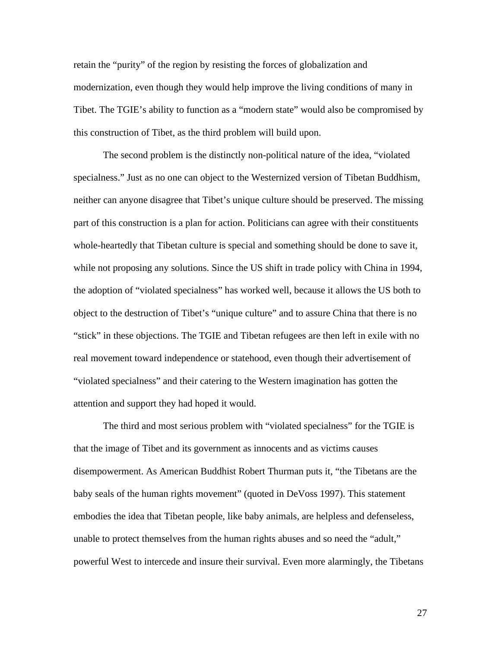retain the "purity" of the region by resisting the forces of globalization and modernization, even though they would help improve the living conditions of many in Tibet. The TGIE's ability to function as a "modern state" would also be compromised by this construction of Tibet, as the third problem will build upon.

The second problem is the distinctly non-political nature of the idea, "violated specialness." Just as no one can object to the Westernized version of Tibetan Buddhism, neither can anyone disagree that Tibet's unique culture should be preserved. The missing part of this construction is a plan for action. Politicians can agree with their constituents whole-heartedly that Tibetan culture is special and something should be done to save it, while not proposing any solutions. Since the US shift in trade policy with China in 1994, the adoption of "violated specialness" has worked well, because it allows the US both to object to the destruction of Tibet's "unique culture" and to assure China that there is no "stick" in these objections. The TGIE and Tibetan refugees are then left in exile with no real movement toward independence or statehood, even though their advertisement of "violated specialness" and their catering to the Western imagination has gotten the attention and support they had hoped it would.

The third and most serious problem with "violated specialness" for the TGIE is that the image of Tibet and its government as innocents and as victims causes disempowerment. As American Buddhist Robert Thurman puts it, "the Tibetans are the baby seals of the human rights movement" (quoted in DeVoss 1997). This statement embodies the idea that Tibetan people, like baby animals, are helpless and defenseless, unable to protect themselves from the human rights abuses and so need the "adult," powerful West to intercede and insure their survival. Even more alarmingly, the Tibetans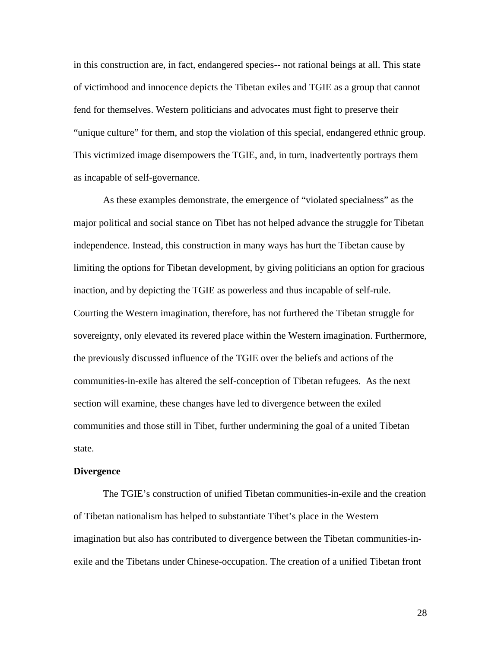in this construction are, in fact, endangered species-- not rational beings at all. This state of victimhood and innocence depicts the Tibetan exiles and TGIE as a group that cannot fend for themselves. Western politicians and advocates must fight to preserve their "unique culture" for them, and stop the violation of this special, endangered ethnic group. This victimized image disempowers the TGIE, and, in turn, inadvertently portrays them as incapable of self-governance.

As these examples demonstrate, the emergence of "violated specialness" as the major political and social stance on Tibet has not helped advance the struggle for Tibetan independence. Instead, this construction in many ways has hurt the Tibetan cause by limiting the options for Tibetan development, by giving politicians an option for gracious inaction, and by depicting the TGIE as powerless and thus incapable of self-rule. Courting the Western imagination, therefore, has not furthered the Tibetan struggle for sovereignty, only elevated its revered place within the Western imagination. Furthermore, the previously discussed influence of the TGIE over the beliefs and actions of the communities-in-exile has altered the self-conception of Tibetan refugees. As the next section will examine, these changes have led to divergence between the exiled communities and those still in Tibet, further undermining the goal of a united Tibetan state.

#### **Divergence**

The TGIE's construction of unified Tibetan communities-in-exile and the creation of Tibetan nationalism has helped to substantiate Tibet's place in the Western imagination but also has contributed to divergence between the Tibetan communities-inexile and the Tibetans under Chinese-occupation. The creation of a unified Tibetan front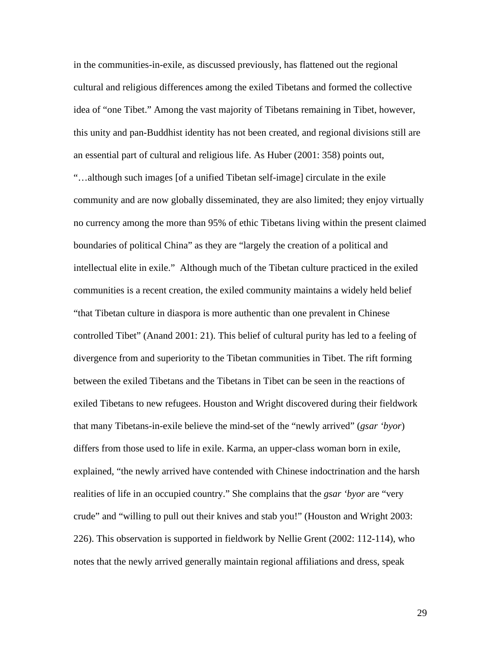in the communities-in-exile, as discussed previously, has flattened out the regional cultural and religious differences among the exiled Tibetans and formed the collective idea of "one Tibet." Among the vast majority of Tibetans remaining in Tibet, however, this unity and pan-Buddhist identity has not been created, and regional divisions still are an essential part of cultural and religious life. As Huber (2001: 358) points out, "…although such images [of a unified Tibetan self-image] circulate in the exile community and are now globally disseminated, they are also limited; they enjoy virtually no currency among the more than 95% of ethic Tibetans living within the present claimed boundaries of political China" as they are "largely the creation of a political and intellectual elite in exile." Although much of the Tibetan culture practiced in the exiled communities is a recent creation, the exiled community maintains a widely held belief "that Tibetan culture in diaspora is more authentic than one prevalent in Chinese controlled Tibet" (Anand 2001: 21). This belief of cultural purity has led to a feeling of divergence from and superiority to the Tibetan communities in Tibet. The rift forming between the exiled Tibetans and the Tibetans in Tibet can be seen in the reactions of exiled Tibetans to new refugees. Houston and Wright discovered during their fieldwork that many Tibetans-in-exile believe the mind-set of the "newly arrived" (*gsar 'byor*) differs from those used to life in exile. Karma, an upper-class woman born in exile, explained, "the newly arrived have contended with Chinese indoctrination and the harsh realities of life in an occupied country." She complains that the *gsar 'byor* are "very crude" and "willing to pull out their knives and stab you!" (Houston and Wright 2003: 226). This observation is supported in fieldwork by Nellie Grent (2002: 112-114), who notes that the newly arrived generally maintain regional affiliations and dress, speak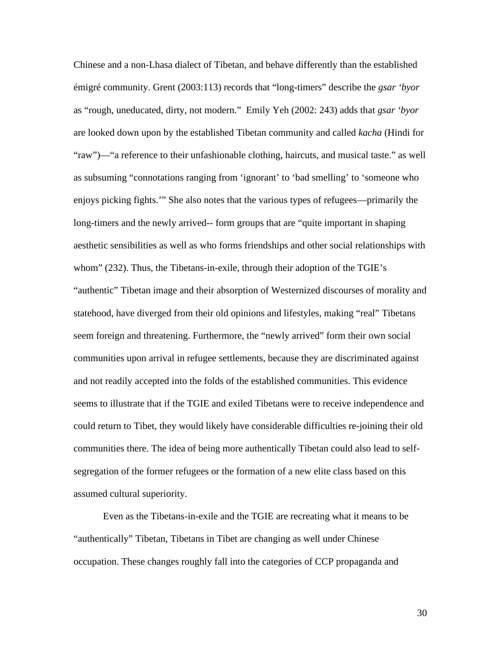Chinese and a non-Lhasa dialect of Tibetan, and behave differently than the established émigré community. Grent (2003:113) records that "long-timers" describe the *gsar 'byor* as "rough, uneducated, dirty, not modern." Emily Yeh (2002: 243) adds that *gsar 'byor* are looked down upon by the established Tibetan community and called *kacha* (Hindi for "raw")—"a reference to their unfashionable clothing, haircuts, and musical taste." as well as subsuming "connotations ranging from 'ignorant' to 'bad smelling' to 'someone who enjoys picking fights.'" She also notes that the various types of refugees—primarily the long-timers and the newly arrived-- form groups that are "quite important in shaping aesthetic sensibilities as well as who forms friendships and other social relationships with whom" (232). Thus, the Tibetans-in-exile, through their adoption of the TGIE's "authentic" Tibetan image and their absorption of Westernized discourses of morality and statehood, have diverged from their old opinions and lifestyles, making "real" Tibetans seem foreign and threatening. Furthermore, the "newly arrived" form their own social communities upon arrival in refugee settlements, because they are discriminated against and not readily accepted into the folds of the established communities. This evidence seems to illustrate that if the TGIE and exiled Tibetans were to receive independence and could return to Tibet, they would likely have considerable difficulties re-joining their old communities there. The idea of being more authentically Tibetan could also lead to selfsegregation of the former refugees or the formation of a new elite class based on this assumed cultural superiority.

Even as the Tibetans-in-exile and the TGIE are recreating what it means to be "authentically" Tibetan, Tibetans in Tibet are changing as well under Chinese occupation. These changes roughly fall into the categories of CCP propaganda and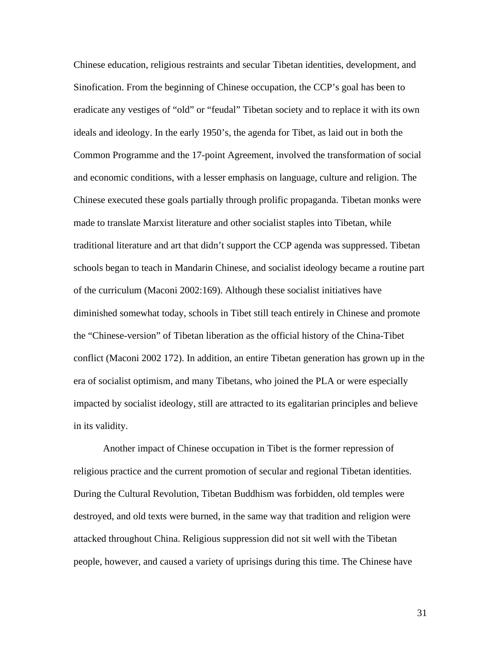Chinese education, religious restraints and secular Tibetan identities, development, and Sinofication. From the beginning of Chinese occupation, the CCP's goal has been to eradicate any vestiges of "old" or "feudal" Tibetan society and to replace it with its own ideals and ideology. In the early 1950's, the agenda for Tibet, as laid out in both the Common Programme and the 17-point Agreement, involved the transformation of social and economic conditions, with a lesser emphasis on language, culture and religion. The Chinese executed these goals partially through prolific propaganda. Tibetan monks were made to translate Marxist literature and other socialist staples into Tibetan, while traditional literature and art that didn't support the CCP agenda was suppressed. Tibetan schools began to teach in Mandarin Chinese, and socialist ideology became a routine part of the curriculum (Maconi 2002:169). Although these socialist initiatives have diminished somewhat today, schools in Tibet still teach entirely in Chinese and promote the "Chinese-version" of Tibetan liberation as the official history of the China-Tibet conflict (Maconi 2002 172). In addition, an entire Tibetan generation has grown up in the era of socialist optimism, and many Tibetans, who joined the PLA or were especially impacted by socialist ideology, still are attracted to its egalitarian principles and believe in its validity.

Another impact of Chinese occupation in Tibet is the former repression of religious practice and the current promotion of secular and regional Tibetan identities. During the Cultural Revolution, Tibetan Buddhism was forbidden, old temples were destroyed, and old texts were burned, in the same way that tradition and religion were attacked throughout China. Religious suppression did not sit well with the Tibetan people, however, and caused a variety of uprisings during this time. The Chinese have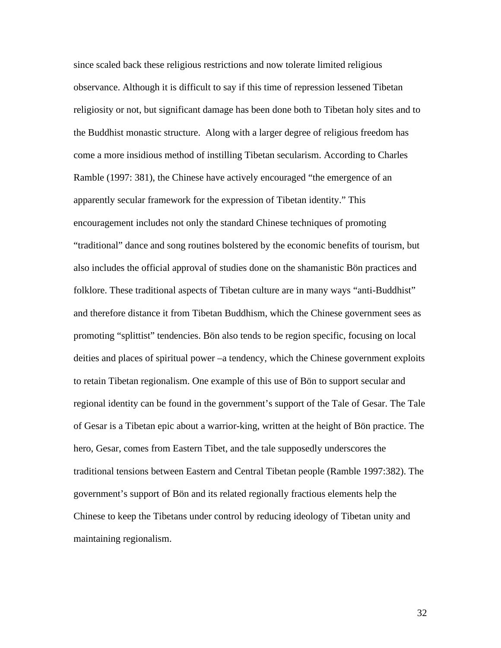since scaled back these religious restrictions and now tolerate limited religious observance. Although it is difficult to say if this time of repression lessened Tibetan religiosity or not, but significant damage has been done both to Tibetan holy sites and to the Buddhist monastic structure. Along with a larger degree of religious freedom has come a more insidious method of instilling Tibetan secularism. According to Charles Ramble (1997: 381), the Chinese have actively encouraged "the emergence of an apparently secular framework for the expression of Tibetan identity." This encouragement includes not only the standard Chinese techniques of promoting "traditional" dance and song routines bolstered by the economic benefits of tourism, but also includes the official approval of studies done on the shamanistic Bön practices and folklore. These traditional aspects of Tibetan culture are in many ways "anti-Buddhist" and therefore distance it from Tibetan Buddhism, which the Chinese government sees as promoting "splittist" tendencies. Bön also tends to be region specific, focusing on local deities and places of spiritual power –a tendency, which the Chinese government exploits to retain Tibetan regionalism. One example of this use of Bön to support secular and regional identity can be found in the government's support of the Tale of Gesar. The Tale of Gesar is a Tibetan epic about a warrior-king, written at the height of Bön practice. The hero, Gesar, comes from Eastern Tibet, and the tale supposedly underscores the traditional tensions between Eastern and Central Tibetan people (Ramble 1997:382). The government's support of Bön and its related regionally fractious elements help the Chinese to keep the Tibetans under control by reducing ideology of Tibetan unity and maintaining regionalism.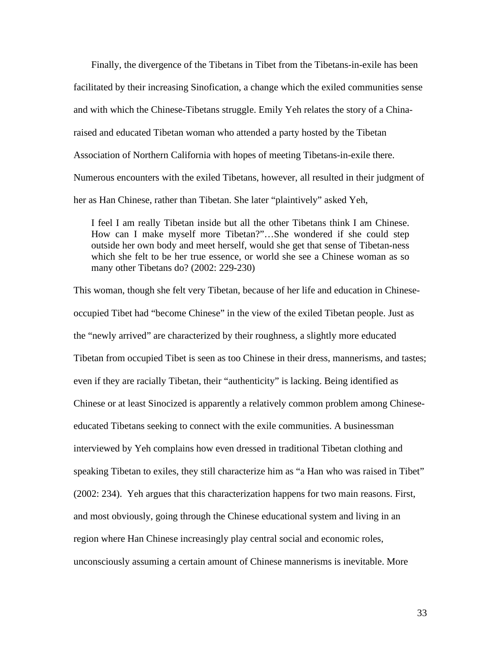Finally, the divergence of the Tibetans in Tibet from the Tibetans-in-exile has been facilitated by their increasing Sinofication, a change which the exiled communities sense and with which the Chinese-Tibetans struggle. Emily Yeh relates the story of a Chinaraised and educated Tibetan woman who attended a party hosted by the Tibetan Association of Northern California with hopes of meeting Tibetans-in-exile there. Numerous encounters with the exiled Tibetans, however, all resulted in their judgment of her as Han Chinese, rather than Tibetan. She later "plaintively" asked Yeh,

I feel I am really Tibetan inside but all the other Tibetans think I am Chinese. How can I make myself more Tibetan?"…She wondered if she could step outside her own body and meet herself, would she get that sense of Tibetan-ness which she felt to be her true essence, or world she see a Chinese woman as so many other Tibetans do? (2002: 229-230)

This woman, though she felt very Tibetan, because of her life and education in Chineseoccupied Tibet had "become Chinese" in the view of the exiled Tibetan people. Just as the "newly arrived" are characterized by their roughness, a slightly more educated Tibetan from occupied Tibet is seen as too Chinese in their dress, mannerisms, and tastes; even if they are racially Tibetan, their "authenticity" is lacking. Being identified as Chinese or at least Sinocized is apparently a relatively common problem among Chineseeducated Tibetans seeking to connect with the exile communities. A businessman interviewed by Yeh complains how even dressed in traditional Tibetan clothing and speaking Tibetan to exiles, they still characterize him as "a Han who was raised in Tibet" (2002: 234). Yeh argues that this characterization happens for two main reasons. First, and most obviously, going through the Chinese educational system and living in an region where Han Chinese increasingly play central social and economic roles, unconsciously assuming a certain amount of Chinese mannerisms is inevitable. More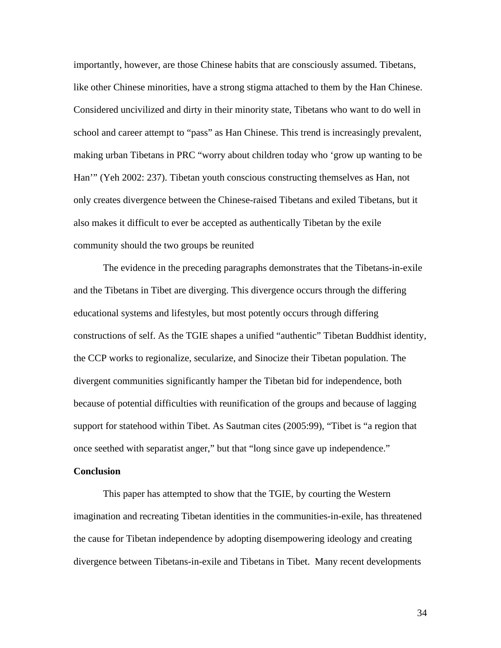importantly, however, are those Chinese habits that are consciously assumed. Tibetans, like other Chinese minorities, have a strong stigma attached to them by the Han Chinese. Considered uncivilized and dirty in their minority state, Tibetans who want to do well in school and career attempt to "pass" as Han Chinese. This trend is increasingly prevalent, making urban Tibetans in PRC "worry about children today who 'grow up wanting to be Han'" (Yeh 2002: 237). Tibetan youth conscious constructing themselves as Han, not only creates divergence between the Chinese-raised Tibetans and exiled Tibetans, but it also makes it difficult to ever be accepted as authentically Tibetan by the exile community should the two groups be reunited

The evidence in the preceding paragraphs demonstrates that the Tibetans-in-exile and the Tibetans in Tibet are diverging. This divergence occurs through the differing educational systems and lifestyles, but most potently occurs through differing constructions of self. As the TGIE shapes a unified "authentic" Tibetan Buddhist identity, the CCP works to regionalize, secularize, and Sinocize their Tibetan population. The divergent communities significantly hamper the Tibetan bid for independence, both because of potential difficulties with reunification of the groups and because of lagging support for statehood within Tibet. As Sautman cites (2005:99), "Tibet is "a region that once seethed with separatist anger," but that "long since gave up independence."

### **Conclusion**

This paper has attempted to show that the TGIE, by courting the Western imagination and recreating Tibetan identities in the communities-in-exile, has threatened the cause for Tibetan independence by adopting disempowering ideology and creating divergence between Tibetans-in-exile and Tibetans in Tibet. Many recent developments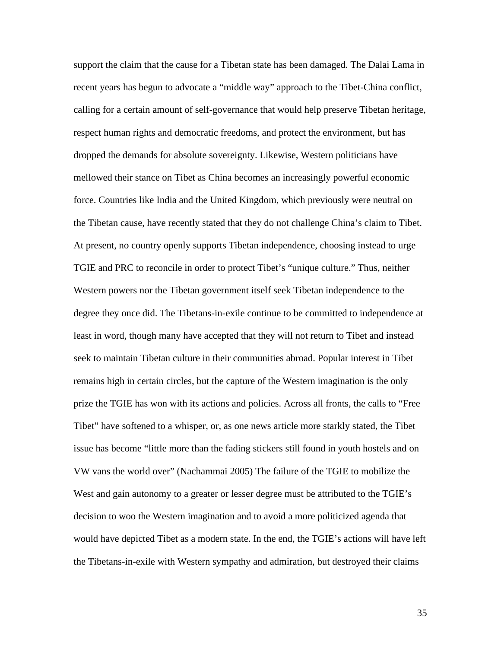support the claim that the cause for a Tibetan state has been damaged. The Dalai Lama in recent years has begun to advocate a "middle way" approach to the Tibet-China conflict, calling for a certain amount of self-governance that would help preserve Tibetan heritage, respect human rights and democratic freedoms, and protect the environment, but has dropped the demands for absolute sovereignty. Likewise, Western politicians have mellowed their stance on Tibet as China becomes an increasingly powerful economic force. Countries like India and the United Kingdom, which previously were neutral on the Tibetan cause, have recently stated that they do not challenge China's claim to Tibet. At present, no country openly supports Tibetan independence, choosing instead to urge TGIE and PRC to reconcile in order to protect Tibet's "unique culture." Thus, neither Western powers nor the Tibetan government itself seek Tibetan independence to the degree they once did. The Tibetans-in-exile continue to be committed to independence at least in word, though many have accepted that they will not return to Tibet and instead seek to maintain Tibetan culture in their communities abroad. Popular interest in Tibet remains high in certain circles, but the capture of the Western imagination is the only prize the TGIE has won with its actions and policies. Across all fronts, the calls to "Free Tibet" have softened to a whisper, or, as one news article more starkly stated, the Tibet issue has become "little more than the fading stickers still found in youth hostels and on VW vans the world over" (Nachammai 2005) The failure of the TGIE to mobilize the West and gain autonomy to a greater or lesser degree must be attributed to the TGIE's decision to woo the Western imagination and to avoid a more politicized agenda that would have depicted Tibet as a modern state. In the end, the TGIE's actions will have left the Tibetans-in-exile with Western sympathy and admiration, but destroyed their claims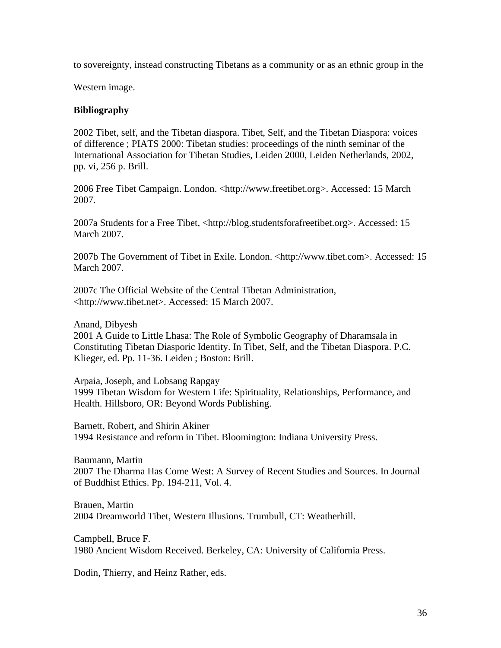to sovereignty, instead constructing Tibetans as a community or as an ethnic group in the

Western image.

## **Bibliography**

2002 Tibet, self, and the Tibetan diaspora. Tibet, Self, and the Tibetan Diaspora: voices of difference ; PIATS 2000: Tibetan studies: proceedings of the ninth seminar of the International Association for Tibetan Studies, Leiden 2000, Leiden Netherlands, 2002, pp. vi, 256 p. Brill.

2006 Free Tibet Campaign. London. <http://www.freetibet.org>. Accessed: 15 March 2007.

2007a Students for a Free Tibet, <http://blog.studentsforafreetibet.org>. Accessed: 15 March 2007.

2007b The Government of Tibet in Exile. London. <http://www.tibet.com>. Accessed: 15 March 2007.

2007c The Official Website of the Central Tibetan Administration, <http://www.tibet.net>. Accessed: 15 March 2007.

Anand, Dibyesh

2001 A Guide to Little Lhasa: The Role of Symbolic Geography of Dharamsala in Constituting Tibetan Diasporic Identity. In Tibet, Self, and the Tibetan Diaspora. P.C. Klieger, ed. Pp. 11-36. Leiden ; Boston: Brill.

Arpaia, Joseph, and Lobsang Rapgay 1999 Tibetan Wisdom for Western Life: Spirituality, Relationships, Performance, and Health. Hillsboro, OR: Beyond Words Publishing.

Barnett, Robert, and Shirin Akiner 1994 Resistance and reform in Tibet. Bloomington: Indiana University Press.

Baumann, Martin 2007 The Dharma Has Come West: A Survey of Recent Studies and Sources. In Journal of Buddhist Ethics. Pp. 194-211, Vol. 4.

Brauen, Martin 2004 Dreamworld Tibet, Western Illusions. Trumbull, CT: Weatherhill.

Campbell, Bruce F. 1980 Ancient Wisdom Received. Berkeley, CA: University of California Press.

Dodin, Thierry, and Heinz Rather, eds.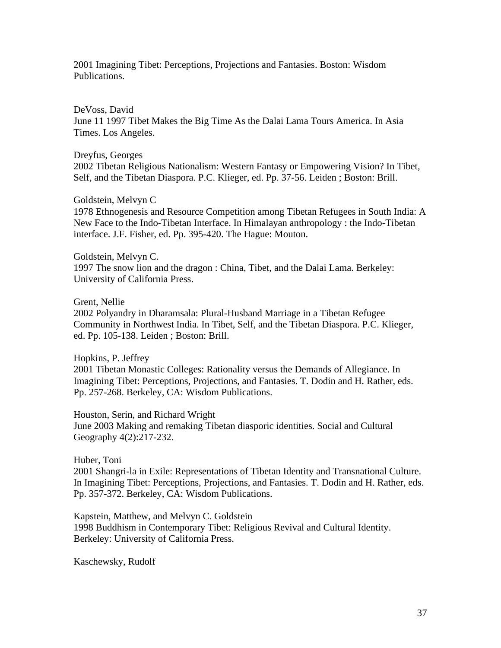2001 Imagining Tibet: Perceptions, Projections and Fantasies. Boston: Wisdom Publications.

DeVoss, David

June 11 1997 Tibet Makes the Big Time As the Dalai Lama Tours America. In Asia Times. Los Angeles.

Dreyfus, Georges

2002 Tibetan Religious Nationalism: Western Fantasy or Empowering Vision? In Tibet, Self, and the Tibetan Diaspora. P.C. Klieger, ed. Pp. 37-56. Leiden ; Boston: Brill.

Goldstein, Melvyn C

1978 Ethnogenesis and Resource Competition among Tibetan Refugees in South India: A New Face to the Indo-Tibetan Interface. In Himalayan anthropology : the Indo-Tibetan interface. J.F. Fisher, ed. Pp. 395-420. The Hague: Mouton.

Goldstein, Melvyn C. 1997 The snow lion and the dragon : China, Tibet, and the Dalai Lama. Berkeley: University of California Press.

Grent, Nellie

2002 Polyandry in Dharamsala: Plural-Husband Marriage in a Tibetan Refugee Community in Northwest India. In Tibet, Self, and the Tibetan Diaspora. P.C. Klieger, ed. Pp. 105-138. Leiden ; Boston: Brill.

Hopkins, P. Jeffrey

2001 Tibetan Monastic Colleges: Rationality versus the Demands of Allegiance. In Imagining Tibet: Perceptions, Projections, and Fantasies. T. Dodin and H. Rather, eds. Pp. 257-268. Berkeley, CA: Wisdom Publications.

Houston, Serin, and Richard Wright

June 2003 Making and remaking Tibetan diasporic identities. Social and Cultural Geography 4(2):217-232.

Huber, Toni

2001 Shangri-la in Exile: Representations of Tibetan Identity and Transnational Culture. In Imagining Tibet: Perceptions, Projections, and Fantasies. T. Dodin and H. Rather, eds. Pp. 357-372. Berkeley, CA: Wisdom Publications.

Kapstein, Matthew, and Melvyn C. Goldstein 1998 Buddhism in Contemporary Tibet: Religious Revival and Cultural Identity. Berkeley: University of California Press.

Kaschewsky, Rudolf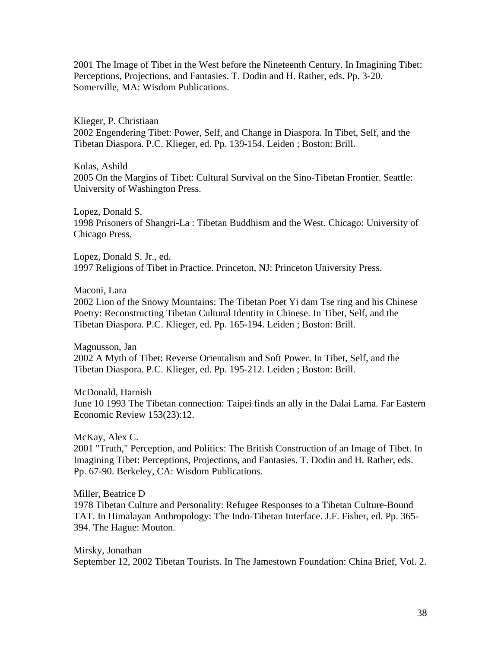2001 The Image of Tibet in the West before the Nineteenth Century. In Imagining Tibet: Perceptions, Projections, and Fantasies. T. Dodin and H. Rather, eds. Pp. 3-20. Somerville, MA: Wisdom Publications.

Klieger, P. Christiaan 2002 Engendering Tibet: Power, Self, and Change in Diaspora. In Tibet, Self, and the Tibetan Diaspora. P.C. Klieger, ed. Pp. 139-154. Leiden ; Boston: Brill.

Kolas, Ashild 2005 On the Margins of Tibet: Cultural Survival on the Sino-Tibetan Frontier. Seattle: University of Washington Press.

Lopez, Donald S. 1998 Prisoners of Shangri-La : Tibetan Buddhism and the West. Chicago: University of Chicago Press.

Lopez, Donald S. Jr., ed. 1997 Religions of Tibet in Practice. Princeton, NJ: Princeton University Press.

Maconi, Lara

2002 Lion of the Snowy Mountains: The Tibetan Poet Yi dam Tse ring and his Chinese Poetry: Reconstructing Tibetan Cultural Identity in Chinese. In Tibet, Self, and the Tibetan Diaspora. P.C. Klieger, ed. Pp. 165-194. Leiden ; Boston: Brill.

Magnusson, Jan 2002 A Myth of Tibet: Reverse Orientalism and Soft Power. In Tibet, Self, and the Tibetan Diaspora. P.C. Klieger, ed. Pp. 195-212. Leiden ; Boston: Brill.

McDonald, Harnish June 10 1993 The Tibetan connection: Taipei finds an ally in the Dalai Lama. Far Eastern Economic Review 153(23):12.

McKay, Alex C.

2001 "Truth," Perception, and Politics: The British Construction of an Image of Tibet. In Imagining Tibet: Perceptions, Projections, and Fantasies. T. Dodin and H. Rather, eds. Pp. 67-90. Berkeley, CA: Wisdom Publications.

Miller, Beatrice D 1978 Tibetan Culture and Personality: Refugee Responses to a Tibetan Culture-Bound TAT. In Himalayan Anthropology: The Indo-Tibetan Interface. J.F. Fisher, ed. Pp. 365- 394. The Hague: Mouton.

Mirsky, Jonathan September 12, 2002 Tibetan Tourists. In The Jamestown Foundation: China Brief, Vol. 2.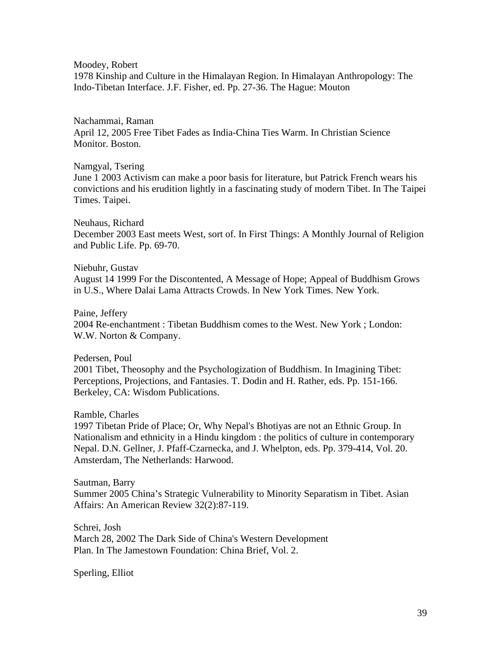Moodey, Robert

1978 Kinship and Culture in the Himalayan Region. In Himalayan Anthropology: The Indo-Tibetan Interface. J.F. Fisher, ed. Pp. 27-36. The Hague: Mouton

Nachammai, Raman April 12, 2005 Free Tibet Fades as India-China Ties Warm. In Christian Science Monitor. Boston.

## Namgyal, Tsering

June 1 2003 Activism can make a poor basis for literature, but Patrick French wears his convictions and his erudition lightly in a fascinating study of modern Tibet. In The Taipei Times. Taipei.

Neuhaus, Richard December 2003 East meets West, sort of. In First Things: A Monthly Journal of Religion and Public Life. Pp. 69-70.

Niebuhr, Gustav August 14 1999 For the Discontented, A Message of Hope; Appeal of Buddhism Grows in U.S., Where Dalai Lama Attracts Crowds. In New York Times. New York.

Paine, Jeffery 2004 Re-enchantment : Tibetan Buddhism comes to the West. New York ; London: W.W. Norton & Company.

Pedersen, Poul 2001 Tibet, Theosophy and the Psychologization of Buddhism. In Imagining Tibet: Perceptions, Projections, and Fantasies. T. Dodin and H. Rather, eds. Pp. 151-166. Berkeley, CA: Wisdom Publications.

Ramble, Charles 1997 Tibetan Pride of Place; Or, Why Nepal's Bhotiyas are not an Ethnic Group. In Nationalism and ethnicity in a Hindu kingdom : the politics of culture in contemporary Nepal. D.N. Gellner, J. Pfaff-Czarnecka, and J. Whelpton, eds. Pp. 379-414, Vol. 20.

Sautman, Barry Summer 2005 China's Strategic Vulnerability to Minority Separatism in Tibet. Asian Affairs: An American Review 32(2):87-119.

Schrei, Josh March 28, 2002 The Dark Side of China's Western Development Plan. In The Jamestown Foundation: China Brief, Vol. 2.

Amsterdam, The Netherlands: Harwood.

Sperling, Elliot